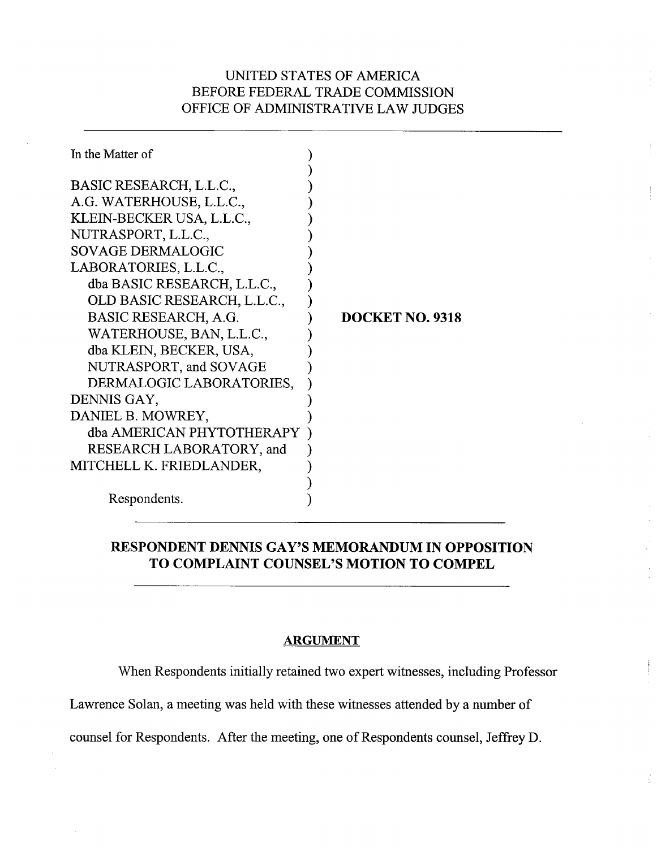### UNITED STATES OF AMERICA BEFORE FEDERAL TRADE COMMISSION OFFICE OF ADMINISTRATIVE LAW JUDGES

| In the Matter of            |                        |
|-----------------------------|------------------------|
| BASIC RESEARCH, L.L.C.,     |                        |
| A.G. WATERHOUSE, L.L.C.,    |                        |
| KLEIN-BECKER USA, L.L.C.,   |                        |
| NUTRASPORT, L.L.C.,         |                        |
| <b>SOVAGE DERMALOGIC</b>    |                        |
| LABORATORIES, L.L.C.,       |                        |
| dba BASIC RESEARCH, L.L.C., |                        |
| OLD BASIC RESEARCH, L.L.C., |                        |
| BASIC RESEARCH, A.G.        | <b>DOCKET NO. 9318</b> |
| WATERHOUSE, BAN, L.L.C.,    |                        |
| dba KLEIN, BECKER, USA,     |                        |
| NUTRASPORT, and SOVAGE      |                        |
| DERMALOGIC LABORATORIES,    |                        |
| DENNIS GAY,                 |                        |
| DANIEL B. MOWREY,           |                        |
| dba AMERICAN PHYTOTHERAPY   |                        |
| RESEARCH LABORATORY, and    |                        |
| MITCHELL K. FRIEDLANDER,    |                        |
|                             |                        |
| Respondents.                |                        |

### **RESPONDENT DENNIS GAY'S MEMORANDUM IN OPPOSITION TO COMPLAINT COUNSEL'S MOTION TO COMPEL**

### **ARGUMENT**

When Respondents initially retained two expert witnesses, including Professor

ś

Lawrence Solan, a meeting was held with these witnesses attended by a number of

counsel for Respondents. After the meeting, one of Respondents counsel, Jeffrey D.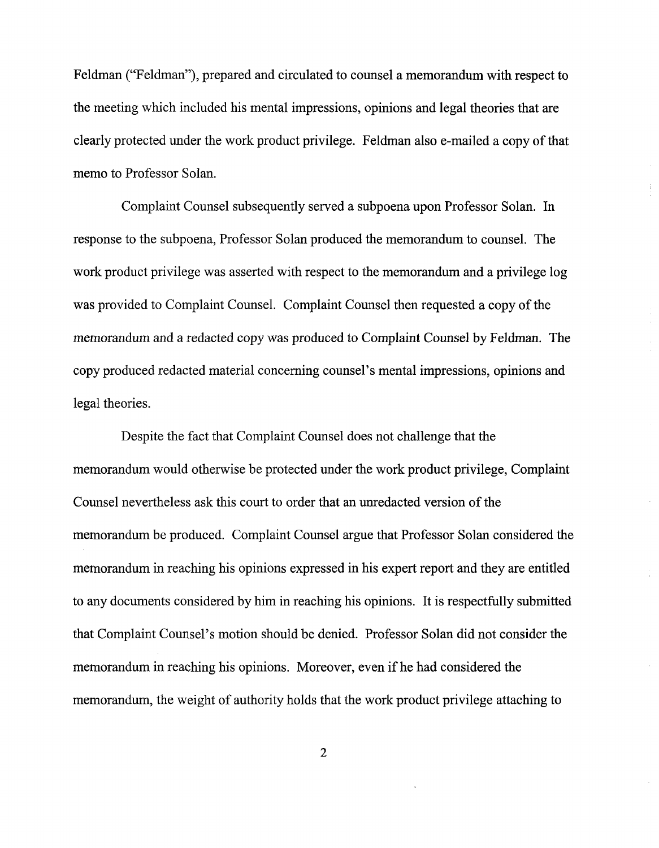Feldman ("Feldman"), prepared and circulated to counsel a memorandum with respect to the meeting which included his mental impressions, opinions and legal theories that are clearly protected under the work product privilege. Feldman also e-mailed a copy of that memo to Professor Solan.

Complaint Counsel subsequently served a subpoena upon Professor Solan. In response to the subpoena, Professor Solan produced the memorandum to counsel. The work product privilege was asserted with respect to the memorandum and a privilege log was provided to Complaint Counsel. Complaint Counsel then requested a copy of the memorandum and a redacted copy was produced to Complaint Counsel by Feldman. The copy produced redacted material concerning counsel's mental impressions, opinions and legal theories.

Despite the fact that Complaint Counsel does not challenge that the memorandum would otherwise be protected under the work product privilege, Complaint Counsel nevertheless ask this court to order that an unredacted version of the memorandum be produced. Complaint Counsel argue that Professor Solan considered the memorandum in reaching his opinions expressed in his expert report and they are entitled to any documents considered by him in reaching his opinions. It is respectfully submitted that Complaint Counsel's motion should be denied. Professor Solan did not consider the memorandum in reaching his opinions. Moreover, even if he had considered the memorandum, the weight of authority holds that the work product privilege attaching to

 $\overline{2}$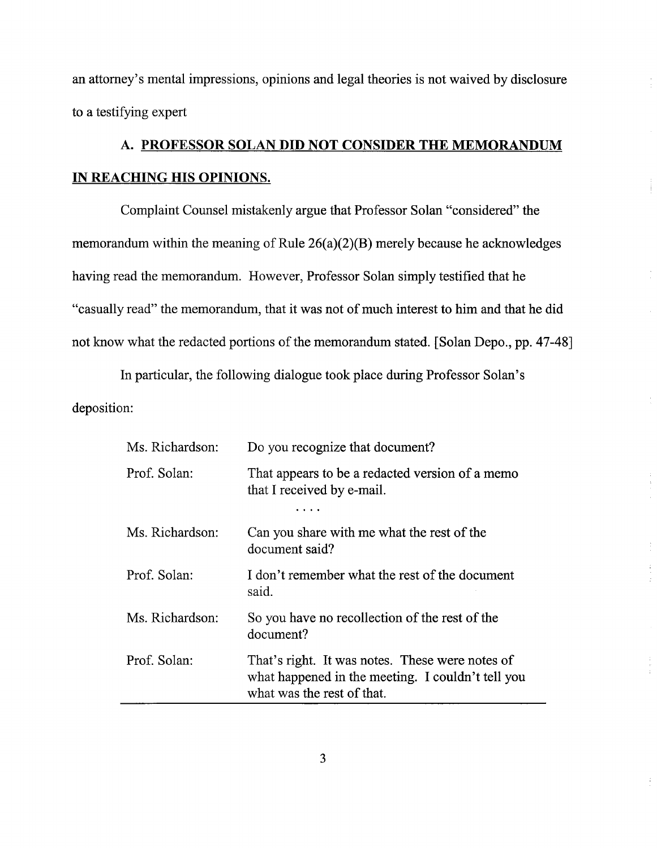an attorney's mental impressions, opinions and legal theories is not waived by disclosure to a testifying expert

# **A. PROFESSOR SOLAN DID NOT CONSIDER THE MEMORANDUM IN REACHING HIS OPINIONS.**

Complaint Counsel mistakenly argue that Professor Solan "considered" the memorandum within the meaning of Rule 26(a)(2)(B) merely because he acknowledges having read the memorandum. However, Professor Solan simply testified that he "casually read" the memorandum, that it was not of much interest to him and that he did not know what the redacted portions of the memorandum stated. [Solan Depo., pp. 47-48]

In particular, the following dialogue took place during Professor Solan's deposition:

| Ms. Richardson: | Do you recognize that document?                                                                                                    |
|-----------------|------------------------------------------------------------------------------------------------------------------------------------|
| Prof. Solan:    | That appears to be a redacted version of a memo<br>that I received by e-mail.                                                      |
|                 |                                                                                                                                    |
| Ms. Richardson: | Can you share with me what the rest of the<br>document said?                                                                       |
| Prof. Solan:    | I don't remember what the rest of the document<br>said.                                                                            |
| Ms. Richardson: | So you have no recollection of the rest of the<br>document?                                                                        |
| Prof. Solan:    | That's right. It was notes. These were notes of<br>what happened in the meeting. I couldn't tell you<br>what was the rest of that. |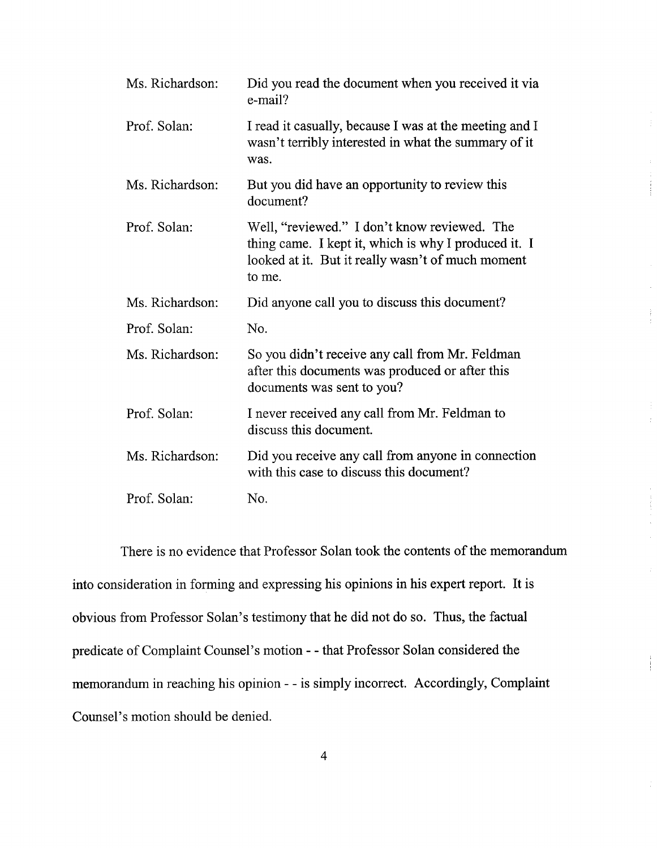| Ms. Richardson: | Did you read the document when you received it via<br>e-mail?                                                                                                       |
|-----------------|---------------------------------------------------------------------------------------------------------------------------------------------------------------------|
| Prof. Solan:    | I read it casually, because I was at the meeting and I<br>wasn't terribly interested in what the summary of it<br>was.                                              |
| Ms. Richardson: | But you did have an opportunity to review this<br>document?                                                                                                         |
| Prof. Solan:    | Well, "reviewed." I don't know reviewed. The<br>thing came. I kept it, which is why I produced it. I<br>looked at it. But it really wasn't of much moment<br>to me. |
| Ms. Richardson: | Did anyone call you to discuss this document?                                                                                                                       |
| Prof. Solan:    | No.                                                                                                                                                                 |
|                 |                                                                                                                                                                     |
| Ms. Richardson: | So you didn't receive any call from Mr. Feldman<br>after this documents was produced or after this<br>documents was sent to you?                                    |
| Prof. Solan:    | I never received any call from Mr. Feldman to<br>discuss this document.                                                                                             |
| Ms. Richardson: | Did you receive any call from anyone in connection<br>with this case to discuss this document?                                                                      |

There is no evidence that Professor Solan took the contents of the memorandum into consideration in forming and expressing his opinions in his expert report. It is obvious from Professor Solan's testimony that he did not do so. Thus, the factual predicate of Complaint Counsel's motion - - that Professor Solan considered the memorandum in reaching his opinion - - is simply incorrect. Accordingly, Complaint Counsel's motion should be denied.

Ť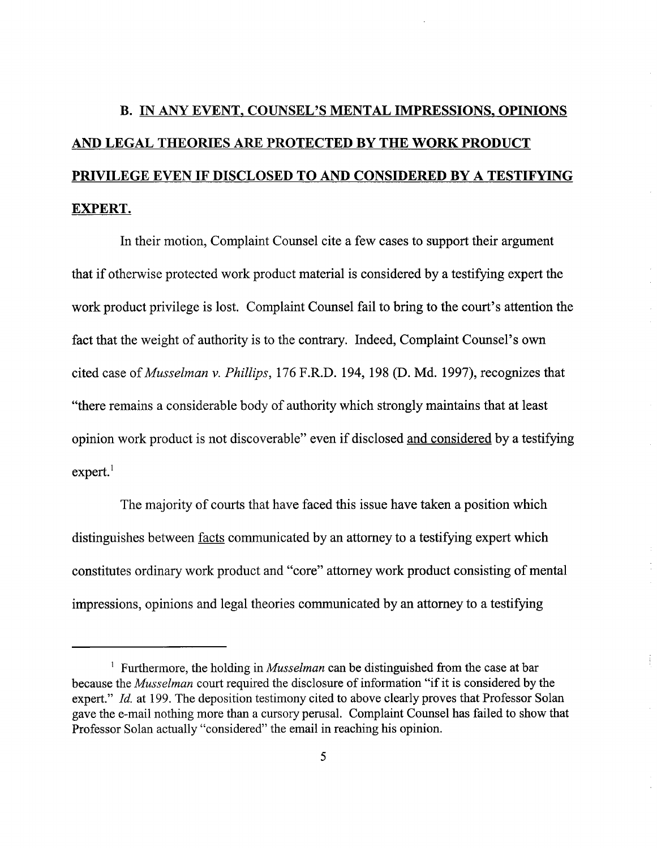# **B. IN ANY EVENT, COUNSEL'S MENTAL IMPRESSIONS, OPINIONS AND LEGAL THEORIES ARE PROTECTED BY THE WORK PRODUCT PRIVILEGE EVEN IF DISCLOSED TO AND CONSIDERED BY A TESTIFYING EXPERT.**

In their motion, Complaint Counsel cite a few cases to support their argument that if otherwise protected work product material is considered by a testifying expert the work product privilege is lost. Complaint Counsel fail to bring to the court's attention the fact that the weight of authority is to the contrary. Indeed, Complaint Counsel's own cited case of Musselman v. Phillips, 176 F.R.D. 194, 198 (D. Md. 1997), recognizes that "there remains a considerable body of authority which strongly maintains that at least opinion work product is not discoverable" even if disclosed and considered by a testifying  $expert.<sup>1</sup>$ 

The majority of courts that have faced this issue have taken a position which distinguishes between facts communicated by an attorney to a testifying expert which constitutes ordinary work product and "core" attorney work product consisting of mental impressions, opinions and legal theories communicated by an attorney to a testifying

<sup>&</sup>lt;sup>1</sup> Furthermore, the holding in *Musselman* can be distinguished from the case at bar because the *Musselman* court required the disclosure of information "if it is considered by the expert." Id. at 199. The deposition testimony cited to above clearly proves that Professor Solan gave the e-mail nothing more than a cursory perusal. Complaint Counsel has failed to show that Professor Solan actually "considered" the email in reaching his opinion.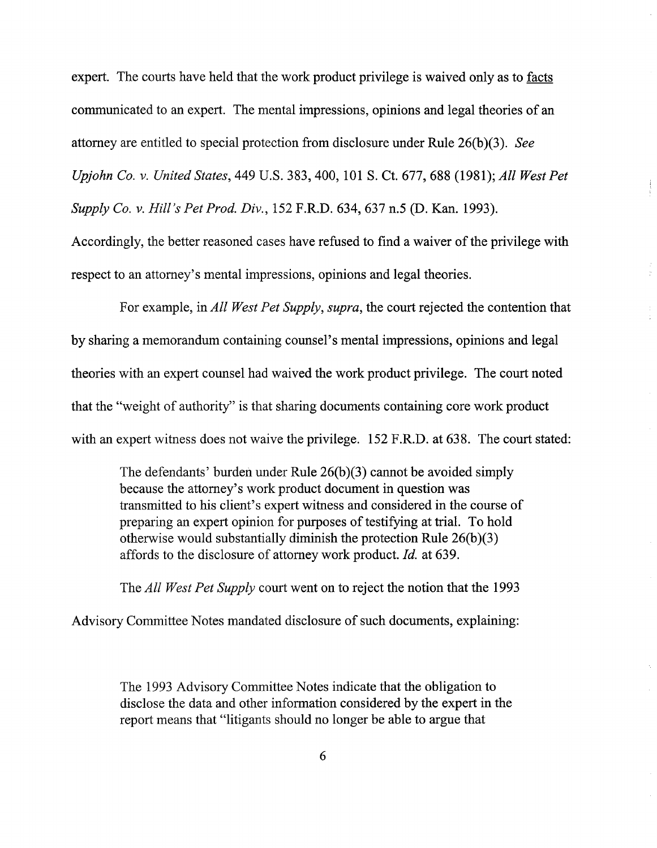expert. The courts have held that the work product privilege is waived only as to facts communicated to an expert. The mental impressions, opinions and legal theories of an attorney are entitled to special protection from disclosure under Rule 26(b)(3). See Upjohn Co. v. United States, 449 U.S. 383,400, 101 S. Ct. 677, 688 (1981); All West Pet

Supply Co. v. Hill's Pet Prod. Div., 152 F.R.D. 634, 637 n.5 (D. Kan. 1993).

Accordingly, the better reasoned cases have refused to find a waiver of the privilege with respect to an attorney's mental impressions, opinions and legal theories.

For example, in All West Pet Supply, supra, the court rejected the contention that by sharing a memorandum containing counsel's mental impressions, opinions and legal theories with an expert counsel had waived the work product privilege. The court noted that the "weight of authority" is that sharing documents containing core work product with an expert witness does not waive the privilege. 152 F.R.D. at 638. The court stated:

The defendants' burden under Rule 26(b)(3) cannot be avoided simply because the attorney's work product document in question was transmitted to his client's expert witness and considered in the course of preparing an expert opinion for purposes of testifying at trial. To hold otherwise would substantially diminish the protection Rule 26(b)(3) affords to the disclosure of attorney work product. Id. at 639.

The *All West Pet Supply* court went on to reject the notion that the 1993

Advisory Committee Notes mandated disclosure of such documents, explaining:

The 1993 Advisory Committee Notes indicate that the obligation to disclose the data and other information considered by the expert in the report means that "litigants should no longer be able to argue that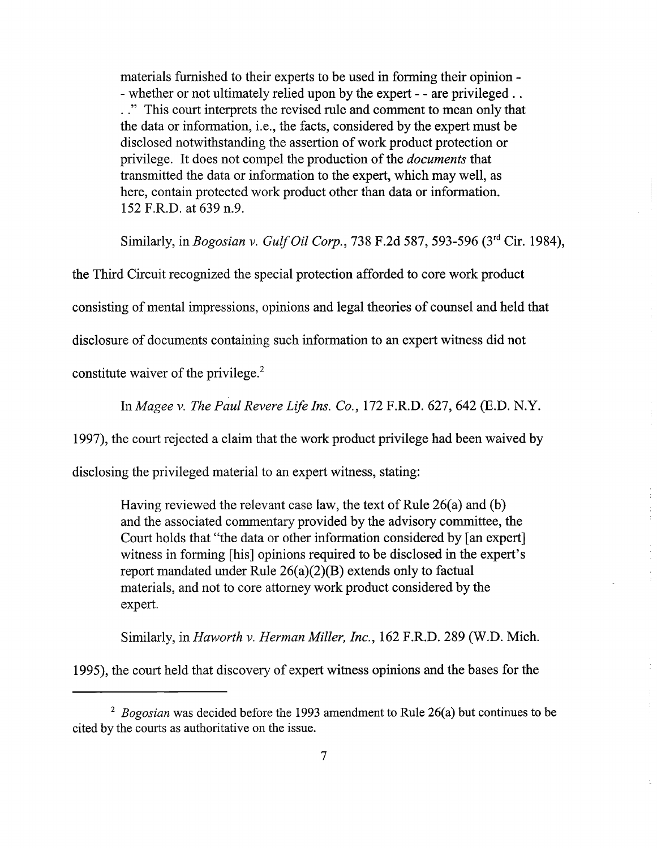materials furnished to their experts to be used in forming their opinion -<br>- whether or not ultimately relied upon by the expert - - are privileged ..<br>.." This court interprets the revised rule and comment to mean only tha the data or information, i.e., the facts, considered by the expert must be disclosed notwithstanding the assertion of work product protection or privilege. It does not compel the production of the *documents* that transmitted the data or information to the expert, which may well, as here, contain protected work product other than data or information. 152 F.R.D. at 639 n.9.

Similarly, in Bogosian v. Gulf Oil Corp., 738 F.2d 587, 593-596 (3rd Cir. 1984),

the Third Circuit recognized the special protection afforded to core work product consisting of mental impressions, opinions and legal theories of counsel and held that disclosure of documents containing such information to an expert witness did not constitute waiver of the privilege. $2$ 

In Magee v. The Paul Revere Life Ins. Co., 172 F.R.D. 627, 642 (E.D. N.Y.

1997), the court rejected a claim that the work product privilege had been waived by

disclosing the privileged material to an expert witness, stating:

Having reviewed the relevant case law, the text of Rule 26(a) and (b) and the associated commentary provided by the advisory committee, the Court holds that "the data or other information considered by [an expert] witness in forming [his] opinions required to be disclosed in the expert's report mandated under Rule 26(a)(2)(B) extends only to factual materials, and not to core attorney work product considered by the expert.

Similarly, in Haworth v. Herman Miller, Inc., 162 F.R.D. 289 (W.D. Mich.

1995), the court held that discovery of expert witness opinions and the bases for the

<sup>&</sup>lt;sup>2</sup> Bogosian was decided before the 1993 amendment to Rule 26(a) but continues to be cited by the courts as authoritative on the issue.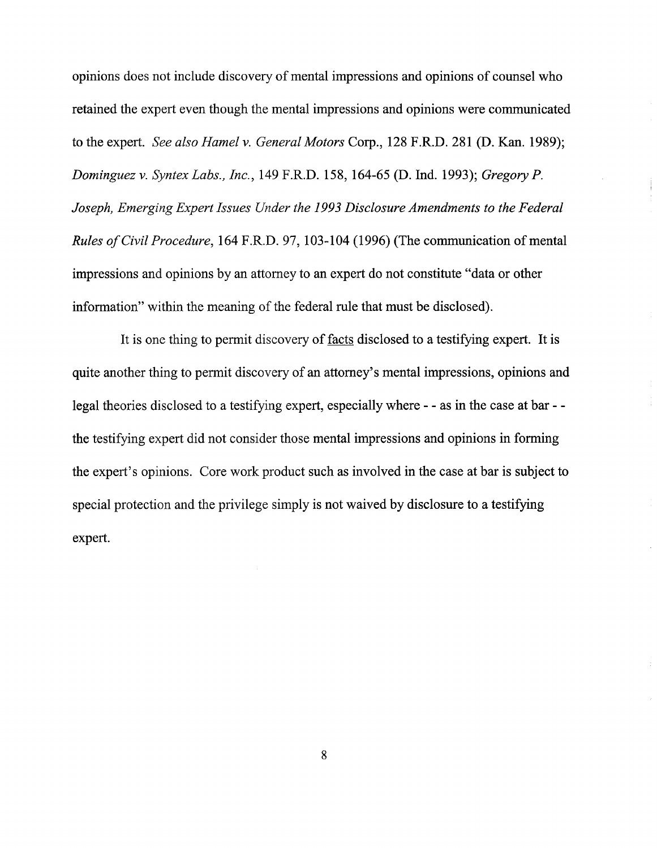opinions does not include discovery of mental impressions and opinions of counsel who retained the expert even though the mental impressions and opinions were communicated to the expert. *See also Hamel v. General Motors* Corp., 128 F.R.D. 281 (D. Kan. 1989); *Dominguez v. Syntex Labs., Inc.,* 149 F.R.D. 158,164-65 (D. Ind. 1993); *Gregory* P. *Joseph, Emerging Expert Issues Under the 1993 Disclosure Amendments to the Federal Rules of Civil Procedure,* 164 F.R.D. 97, 103-104 (1996) (The communication of mental impressions and opinions by an attorney to an expert do not constitute "data or other information" within the meaning of the federal rule that must be disclosed).

It is one thing to permit discovery of facts disclosed to a testifying expert. It is quite another thing to permit discovery of an attorney's mental impressions, opinions and legal theories disclosed to a testifying expert, especially where - - as in the case at bar - the testifying expert did not consider those mental impressions and opinions in forming the expert's opinions. Core work product such as involved in the case at bar is subject to special protection and the privilege simply is not waived by disclosure to a testifying expert.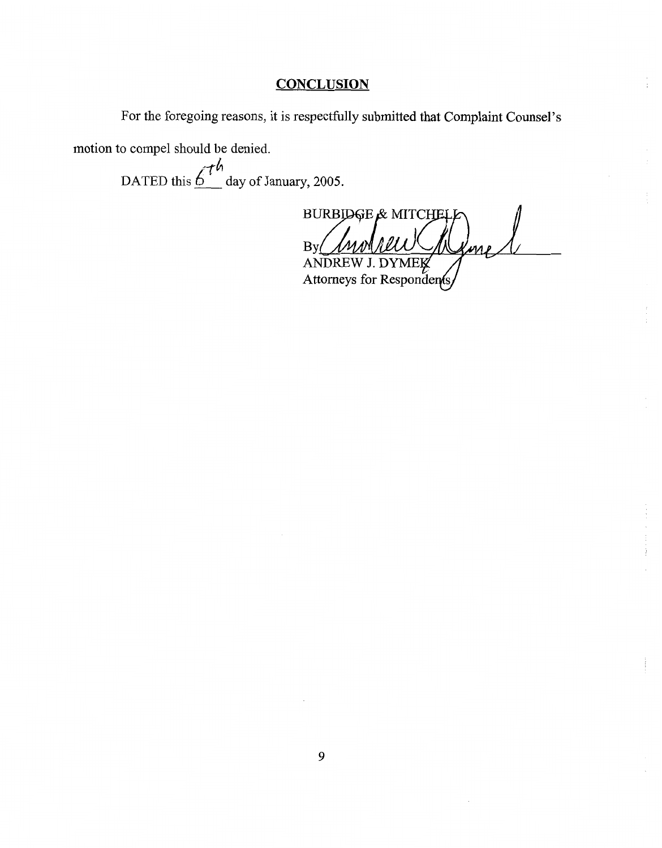## **CONCLUSION**

For the foregoing reasons, it is respectfully submitted that Complaint Counsel's

motion to compel should be denied.

**-/L**  DATED this  $\int_0^1 \mu$  day of January, 2005.

**BURBIDGE & MITCHE** By ns i ANDREW J. DYMEK

Attorneys for Respondents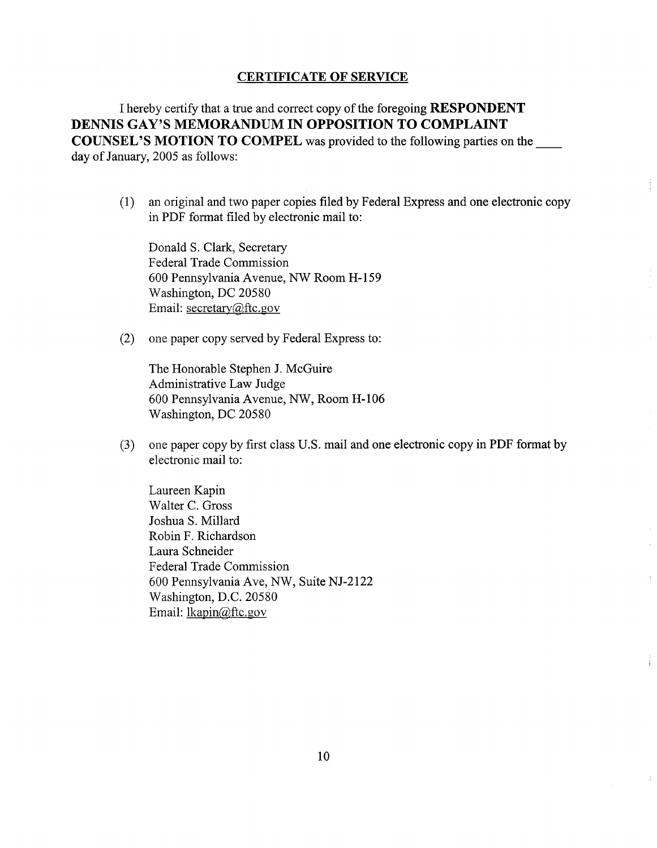#### **CERTIFICATE OF SERVICE**

**I** hereby certify that a true and correct copy of the foregoing **RESPONDENT DENNIS GAY'S MEMORANDUM IN OPPOSITION TO COMPLAINT COUNSEL'S MOTION TO COMPEL** was provided to the following parties on the day of January, 2005 as follows:

 $(1)$ an original and two paper copies filed by Federal Express and one electronic copy in PDF format filed by electronic mail to:

Donald S. Clark, Secretary Federal Trade Commission 600 Pennsylvania Avenue, NW Room H- 159 Washington, DC 20580 Email: secretary@ftc.gov

 $(2)$ one paper copy served by Federal Express to:

> The Honorable Stephen J. McGuire Administrative Law Judge 600 Pennsylvania Avenue, NW, Room H- 106 Washington, DC 20580

one paper copy by first class U.S. mail and one electronic copy in PDF format by  $(3)$ electronic mail to:

Laureen Kapin Walter C. Gross Joshua S. Millard Robin F. Richardson Laura Schneider Federal Trade Commission 600 Pennsylvania Ave, NW, Suite NJ-2122 Washington, D.C. 20580 Email: lkapin@ftc.gov